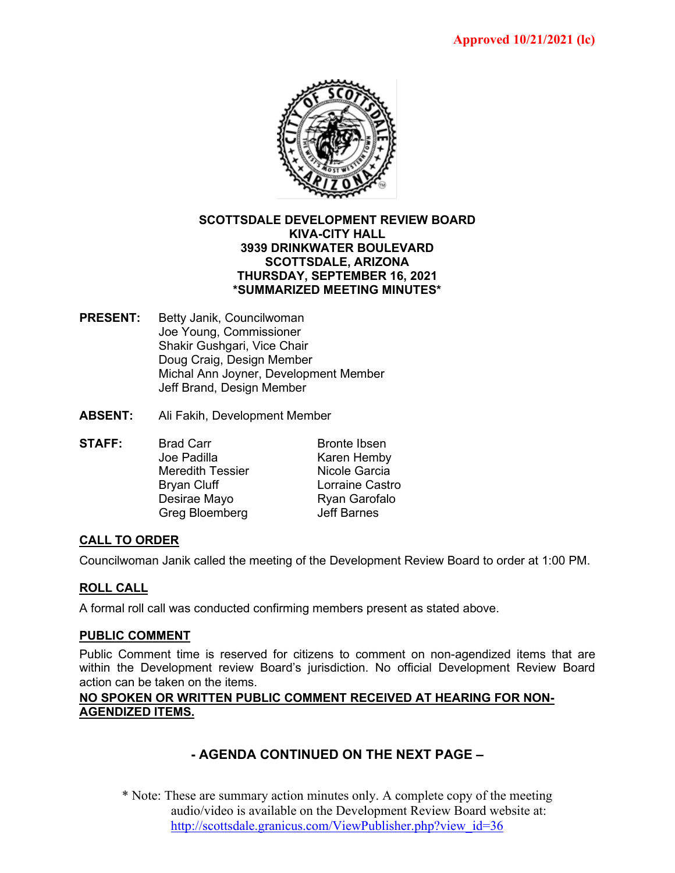

#### **SCOTTSDALE DEVELOPMENT REVIEW BOARD KIVA-CITY HALL 3939 DRINKWATER BOULEVARD SCOTTSDALE, ARIZONA THURSDAY, SEPTEMBER 16, 2021 \*SUMMARIZED MEETING MINUTES\***

- **PRESENT:** Betty Janik, Councilwoman Joe Young, Commissioner Shakir Gushgari, Vice Chair Doug Craig, Design Member Michal Ann Joyner, Development Member Jeff Brand, Design Member
- **ABSENT:** Ali Fakih, Development Member
- **STAFF:** Brad Carr Bronte Ibsen<br>
Joe Padilla Bronte Hemby Karen Hemby Meredith Tessier **Nicole Garcia** Bryan Cluff **Lorraine Castro** Desirae Mayo Ryan Garofalo Greg Bloemberg **Jeff Barnes**

## **CALL TO ORDER**

Councilwoman Janik called the meeting of the Development Review Board to order at 1:00 PM.

## **ROLL CALL**

A formal roll call was conducted confirming members present as stated above.

#### **PUBLIC COMMENT**

Public Comment time is reserved for citizens to comment on non-agendized items that are within the Development review Board's jurisdiction. No official Development Review Board action can be taken on the items.

#### **NO SPOKEN OR WRITTEN PUBLIC COMMENT RECEIVED AT HEARING FOR NON-AGENDIZED ITEMS.**

# **- AGENDA CONTINUED ON THE NEXT PAGE –**

\* Note: These are summary action minutes only. A complete copy of the meeting audio/video is available on the Development Review Board website at: [http://scottsdale.granicus.com/ViewPublisher.php?view\\_id=36](http://scottsdale.granicus.com/ViewPublisher.php?view_id=36)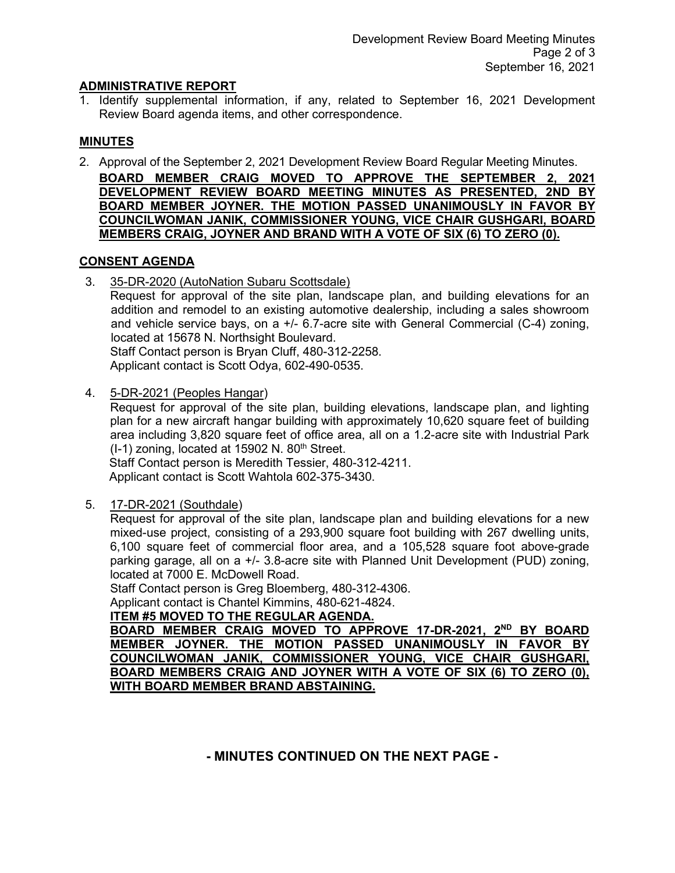## **ADMINISTRATIVE REPORT**

1. Identify supplemental information, if any, related to September 16, 2021 Development Review Board agenda items, and other correspondence.

## **MINUTES**

2. Approval of the September 2, 2021 Development Review Board Regular Meeting Minutes. **BOARD MEMBER CRAIG MOVED TO APPROVE THE SEPTEMBER 2, 2021**

**DEVELOPMENT REVIEW BOARD MEETING MINUTES AS PRESENTED, 2ND BY BOARD MEMBER JOYNER. THE MOTION PASSED UNANIMOUSLY IN FAVOR BY COUNCILWOMAN JANIK, COMMISSIONER YOUNG, VICE CHAIR GUSHGARI, BOARD MEMBERS CRAIG, JOYNER AND BRAND WITH A VOTE OF SIX (6) TO ZERO (0).**

#### **CONSENT AGENDA**

3. 35-DR-2020 (AutoNation Subaru Scottsdale)

Request for approval of the site plan, landscape plan, and building elevations for an addition and remodel to an existing automotive dealership, including a sales showroom and vehicle service bays, on a  $+/-$  6.7-acre site with General Commercial (C-4) zoning, located at 15678 N. Northsight Boulevard.

Staff Contact person is Bryan Cluff, 480-312-2258. Applicant contact is Scott Odya, 602-490-0535.

4. 5-DR-2021 (Peoples Hangar)

Request for approval of the site plan, building elevations, landscape plan, and lighting plan for a new aircraft hangar building with approximately 10,620 square feet of building area including 3,820 square feet of office area, all on a 1.2-acre site with Industrial Park  $(I-1)$  zoning, located at 15902 N. 80<sup>th</sup> Street.

Staff Contact person is Meredith Tessier, 480-312-4211. Applicant contact is Scott Wahtola 602-375-3430.

5. 17-DR-2021 (Southdale)

Request for approval of the site plan, landscape plan and building elevations for a new mixed-use project, consisting of a 293,900 square foot building with 267 dwelling units, 6,100 square feet of commercial floor area, and a 105,528 square foot above-grade parking garage, all on a +/- 3.8-acre site with Planned Unit Development (PUD) zoning, located at 7000 E. McDowell Road.

Staff Contact person is Greg Bloemberg, 480-312-4306.

Applicant contact is Chantel Kimmins, 480-621-4824.

## **ITEM #5 MOVED TO THE REGULAR AGENDA.**

**BOARD MEMBER CRAIG MOVED TO APPROVE 17-DR-2021, 2ND BY BOARD MEMBER JOYNER. THE MOTION PASSED UNANIMOUSLY IN FAVOR BY COUNCILWOMAN JANIK, COMMISSIONER YOUNG, VICE CHAIR GUSHGARI, BOARD MEMBERS CRAIG AND JOYNER WITH A VOTE OF SIX (6) TO ZERO (0), WITH BOARD MEMBER BRAND ABSTAINING.**

**- MINUTES CONTINUED ON THE NEXT PAGE -**